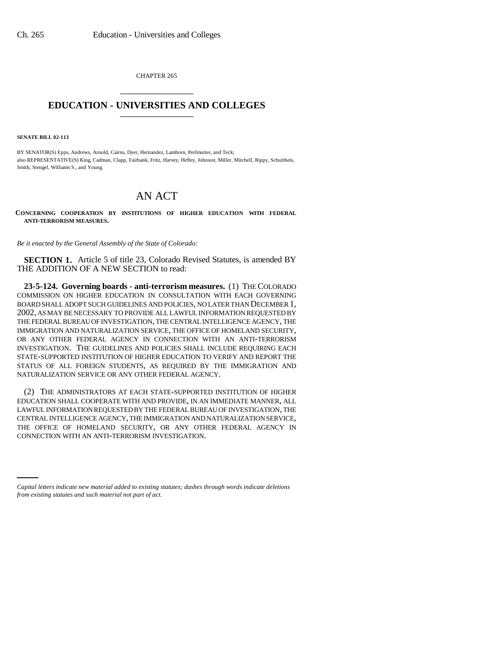CHAPTER 265 \_\_\_\_\_\_\_\_\_\_\_\_\_\_\_

## **EDUCATION - UNIVERSITIES AND COLLEGES** \_\_\_\_\_\_\_\_\_\_\_\_\_\_\_

**SENATE BILL 02-113**

BY SENATOR(S) Epps, Andrews, Arnold, Cairns, Dyer, Hernandez, Lamborn, Perlmutter, and Teck; also REPRESENTATIVE(S) King, Cadman, Clapp, Fairbank, Fritz, Harvey, Hefley, Johnson, Miller, Mitchell, Rippy, Schultheis, Smith, Stengel, Williams S., and Young.

## AN ACT

**CONCERNING COOPERATION BY INSTITUTIONS OF HIGHER EDUCATION WITH FEDERAL ANTI-TERRORISM MEASURES.**

*Be it enacted by the General Assembly of the State of Colorado:*

**SECTION 1.** Article 5 of title 23, Colorado Revised Statutes, is amended BY THE ADDITION OF A NEW SECTION to read:

**23-5-124. Governing boards - anti-terrorism measures.** (1) THE COLORADO COMMISSION ON HIGHER EDUCATION IN CONSULTATION WITH EACH GOVERNING BOARD SHALL ADOPT SUCH GUIDELINES AND POLICIES, NO LATER THAN DECEMBER 1, 2002, AS MAY BE NECESSARY TO PROVIDE ALL LAWFUL INFORMATION REQUESTED BY THE FEDERAL BUREAU OF INVESTIGATION, THE CENTRAL INTELLIGENCE AGENCY, THE IMMIGRATION AND NATURALIZATION SERVICE, THE OFFICE OF HOMELAND SECURITY, OR ANY OTHER FEDERAL AGENCY IN CONNECTION WITH AN ANTI-TERRORISM INVESTIGATION. THE GUIDELINES AND POLICIES SHALL INCLUDE REQUIRING EACH STATE-SUPPORTED INSTITUTION OF HIGHER EDUCATION TO VERIFY AND REPORT THE STATUS OF ALL FOREIGN STUDENTS, AS REQUIRED BY THE IMMIGRATION AND NATURALIZATION SERVICE OR ANY OTHER FEDERAL AGENCY.

CONNECTION WITH AN ANTI-TERRORISM INVESTIGATION.(2) THE ADMINISTRATORS AT EACH STATE-SUPPORTED INSTITUTION OF HIGHER EDUCATION SHALL COOPERATE WITH AND PROVIDE, IN AN IMMEDIATE MANNER, ALL LAWFUL INFORMATION REQUESTED BY THE FEDERAL BUREAU OF INVESTIGATION, THE CENTRAL INTELLIGENCE AGENCY, THE IMMIGRATION AND NATURALIZATION SERVICE, THE OFFICE OF HOMELAND SECURITY, OR ANY OTHER FEDERAL AGENCY IN

*Capital letters indicate new material added to existing statutes; dashes through words indicate deletions from existing statutes and such material not part of act.*